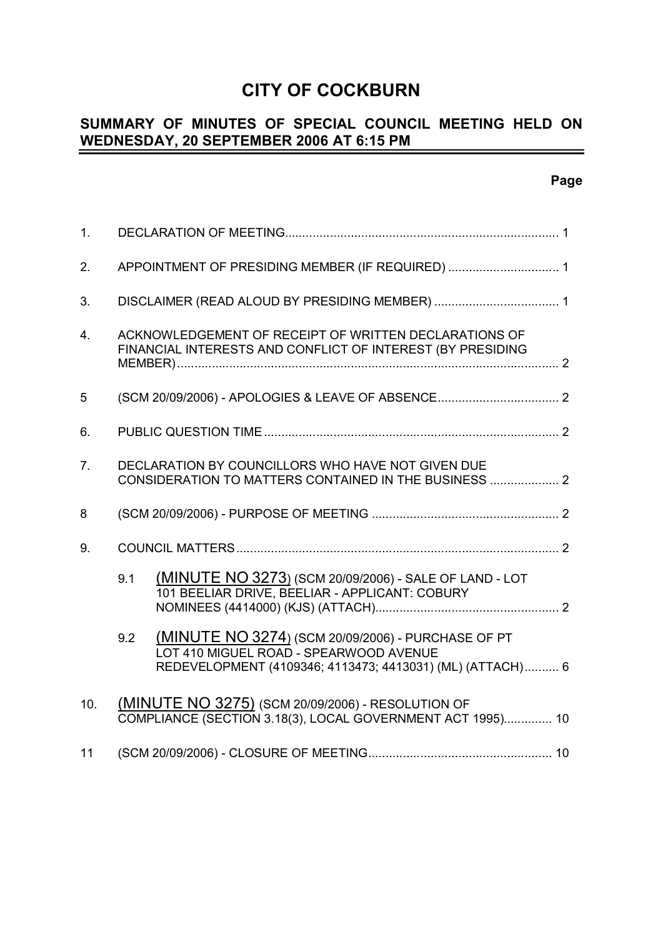# **CITY OF COCKBURN**

#### **SUMMARY OF MINUTES OF SPECIAL COUNCIL MEETING HELD ON WEDNESDAY, 20 SEPTEMBER 2006 AT 6:15 PM**  $\overline{a}$

| 1 <sub>1</sub> |                                                                                                                                                                  |  |  |  |  |
|----------------|------------------------------------------------------------------------------------------------------------------------------------------------------------------|--|--|--|--|
| 2.             | APPOINTMENT OF PRESIDING MEMBER (IF REQUIRED)  1                                                                                                                 |  |  |  |  |
| 3.             |                                                                                                                                                                  |  |  |  |  |
| 4.             | ACKNOWLEDGEMENT OF RECEIPT OF WRITTEN DECLARATIONS OF<br>FINANCIAL INTERESTS AND CONFLICT OF INTEREST (BY PRESIDING                                              |  |  |  |  |
| 5              |                                                                                                                                                                  |  |  |  |  |
| 6.             |                                                                                                                                                                  |  |  |  |  |
| 7 <sub>1</sub> | DECLARATION BY COUNCILLORS WHO HAVE NOT GIVEN DUE<br>CONSIDERATION TO MATTERS CONTAINED IN THE BUSINESS  2                                                       |  |  |  |  |
|                |                                                                                                                                                                  |  |  |  |  |
| 8              |                                                                                                                                                                  |  |  |  |  |
| 9.             |                                                                                                                                                                  |  |  |  |  |
|                | (MINUTE NO 3273) (SCM 20/09/2006) - SALE OF LAND - LOT<br>9.1<br>101 BEELIAR DRIVE, BEELIAR - APPLICANT: COBURY                                                  |  |  |  |  |
|                | (MINUTE NO 3274) (SCM 20/09/2006) - PURCHASE OF PT<br>9.2<br>LOT 410 MIGUEL ROAD - SPEARWOOD AVENUE<br>REDEVELOPMENT (4109346; 4113473; 4413031) (ML) (ATTACH) 6 |  |  |  |  |
| 10.            | (MINUTE NO 3275) (SCM 20/09/2006) - RESOLUTION OF<br>COMPLIANCE (SECTION 3.18(3), LOCAL GOVERNMENT ACT 1995) 10                                                  |  |  |  |  |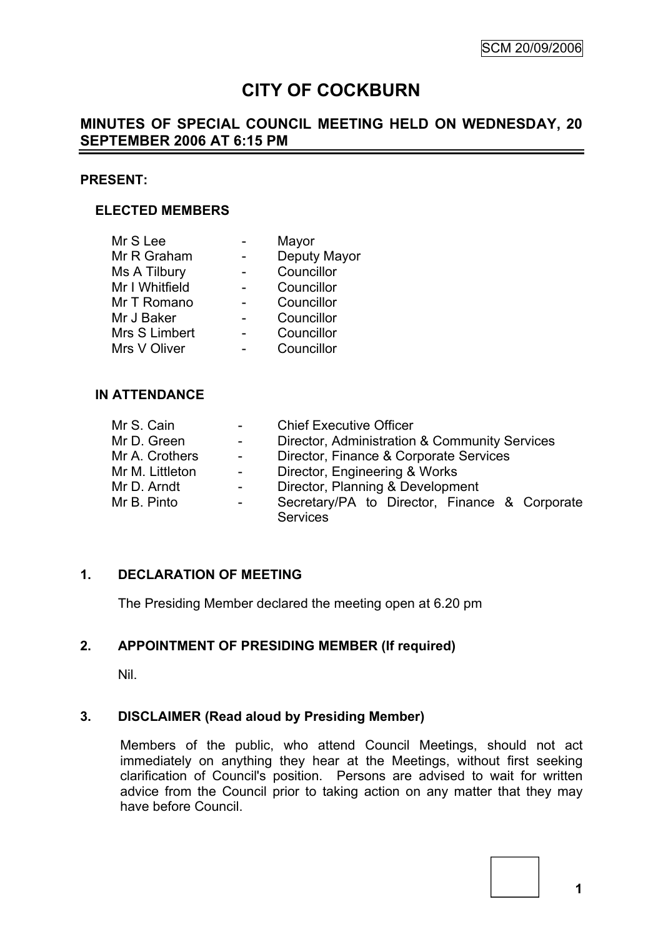# **CITY OF COCKBURN**

# **MINUTES OF SPECIAL COUNCIL MEETING HELD ON WEDNESDAY, 20 SEPTEMBER 2006 AT 6:15 PM**

#### **PRESENT:**

#### **ELECTED MEMBERS**

| Mr S Lee       | Mayor        |
|----------------|--------------|
| Mr R Graham    | Deputy Mayor |
| Ms A Tilbury   | Councillor   |
| Mr I Whitfield | Councillor   |
| Mr T Romano    | Councillor   |
| Mr J Baker     | Councillor   |
| Mrs S Limbert  | Councillor   |
| Mrs V Oliver   | Councillor   |
|                |              |

#### **IN ATTENDANCE**

| Mr S. Cain      | $\sim$     | <b>Chief Executive Officer</b>                |
|-----------------|------------|-----------------------------------------------|
| Mr D. Green     | $\sim 100$ | Director, Administration & Community Services |
| Mr A. Crothers  | $\sim 100$ | Director, Finance & Corporate Services        |
| Mr M. Littleton | $\sim 100$ | Director, Engineering & Works                 |
| Mr D. Arndt     | $\sim$     | Director, Planning & Development              |
| Mr B. Pinto     | $\pm$      | Secretary/PA to Director, Finance & Corporate |
|                 |            | <b>Services</b>                               |

#### **1. DECLARATION OF MEETING**

The Presiding Member declared the meeting open at 6.20 pm

#### **2. APPOINTMENT OF PRESIDING MEMBER (If required)**

Nil.

#### **3. DISCLAIMER (Read aloud by Presiding Member)**

Members of the public, who attend Council Meetings, should not act immediately on anything they hear at the Meetings, without first seeking clarification of Council's position. Persons are advised to wait for written advice from the Council prior to taking action on any matter that they may have before Council.

**1**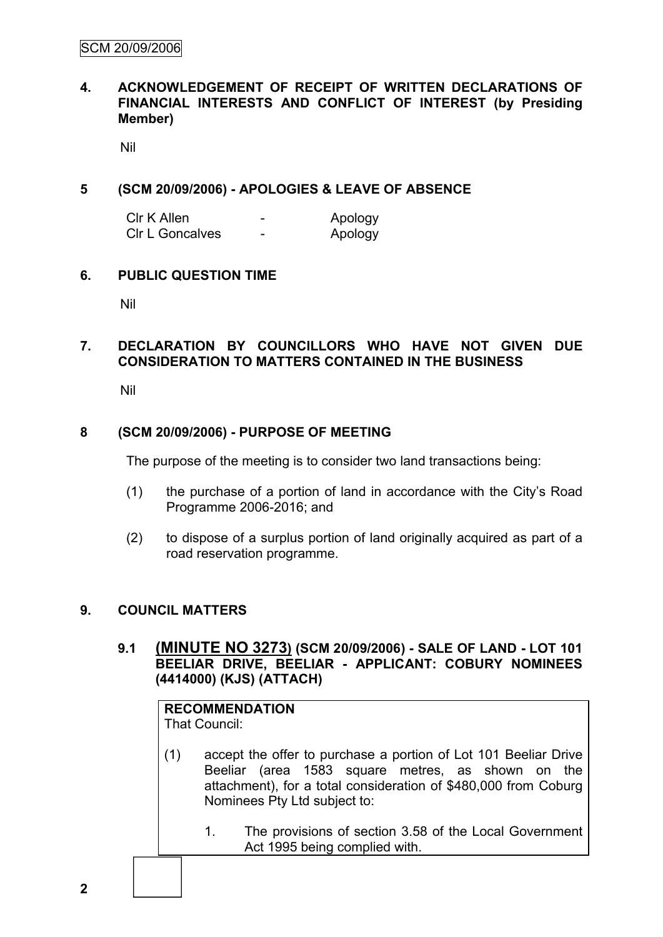#### **4. ACKNOWLEDGEMENT OF RECEIPT OF WRITTEN DECLARATIONS OF FINANCIAL INTERESTS AND CONFLICT OF INTEREST (by Presiding Member)**

Nil

## **5 (SCM 20/09/2006) - APOLOGIES & LEAVE OF ABSENCE**

Clr K Allen - Apology Clr L Goncalves - Apology

#### **6. PUBLIC QUESTION TIME**

Nil

## **7. DECLARATION BY COUNCILLORS WHO HAVE NOT GIVEN DUE CONSIDERATION TO MATTERS CONTAINED IN THE BUSINESS**

Nil

## **8 (SCM 20/09/2006) - PURPOSE OF MEETING**

The purpose of the meeting is to consider two land transactions being:

- (1) the purchase of a portion of land in accordance with the City's Road Programme 2006-2016; and
- (2) to dispose of a surplus portion of land originally acquired as part of a road reservation programme.

#### **9. COUNCIL MATTERS**

**9.1 (MINUTE NO 3273) (SCM 20/09/2006) - SALE OF LAND - LOT 101 BEELIAR DRIVE, BEELIAR - APPLICANT: COBURY NOMINEES (4414000) (KJS) (ATTACH)**

| <b>RECOMMENDATION</b> |
|-----------------------|
| That Council:         |

- (1) accept the offer to purchase a portion of Lot 101 Beeliar Drive Beeliar (area 1583 square metres, as shown on the attachment), for a total consideration of \$480,000 from Coburg Nominees Pty Ltd subject to:
	- 1. The provisions of section 3.58 of the Local Government Act 1995 being complied with.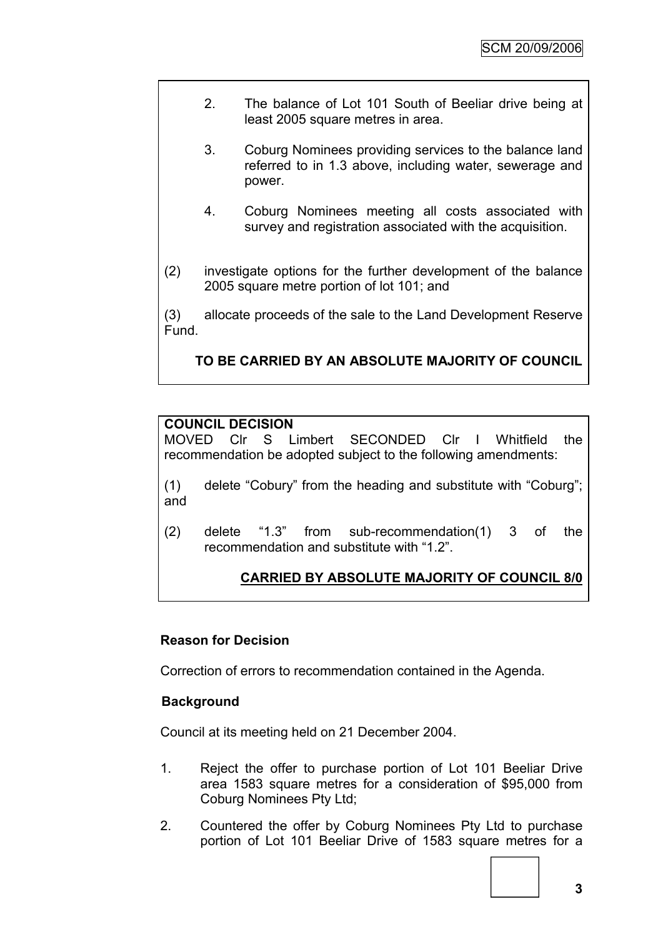- 2. The balance of Lot 101 South of Beeliar drive being at least 2005 square metres in area.
- 3. Coburg Nominees providing services to the balance land referred to in 1.3 above, including water, sewerage and power.
- 4. Coburg Nominees meeting all costs associated with survey and registration associated with the acquisition.
- (2) investigate options for the further development of the balance 2005 square metre portion of lot 101; and

(3) allocate proceeds of the sale to the Land Development Reserve Fund.

**TO BE CARRIED BY AN ABSOLUTE MAJORITY OF COUNCIL**

# **COUNCIL DECISION**

MOVED Clr S Limbert SECONDED Clr I Whitfield the recommendation be adopted subject to the following amendments:

- (1) delete "Cobury" from the heading and substitute with "Coburg"; and
- (2) delete "1.3" from sub-recommendation(1) 3 of the recommendation and substitute with "1.2".

# **CARRIED BY ABSOLUTE MAJORITY OF COUNCIL 8/0**

# **Reason for Decision**

Correction of errors to recommendation contained in the Agenda.

# **Background**

Council at its meeting held on 21 December 2004.

- 1. Reject the offer to purchase portion of Lot 101 Beeliar Drive area 1583 square metres for a consideration of \$95,000 from Coburg Nominees Pty Ltd;
- 2. Countered the offer by Coburg Nominees Pty Ltd to purchase portion of Lot 101 Beeliar Drive of 1583 square metres for a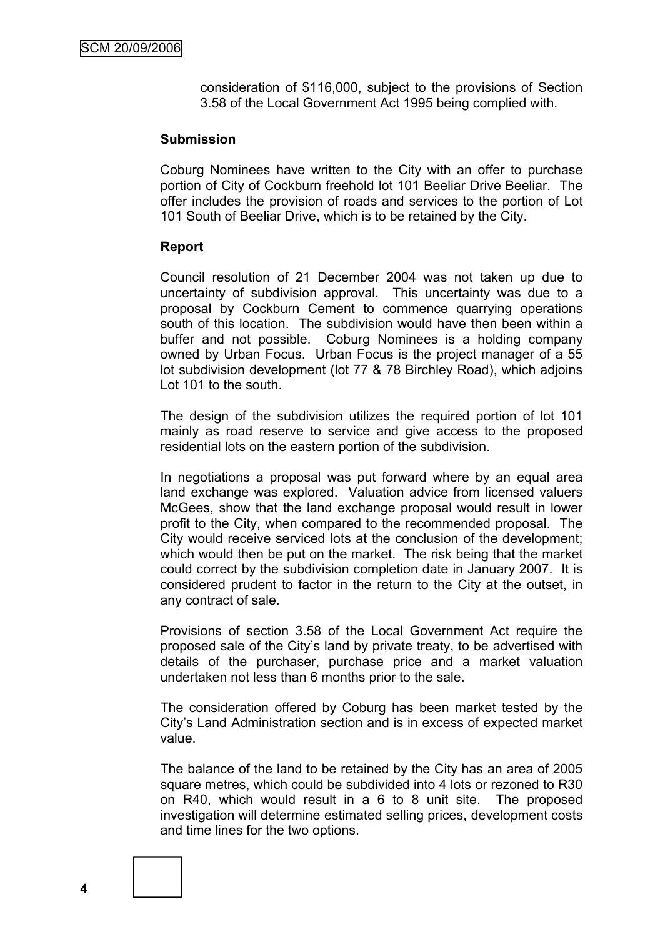consideration of \$116,000, subject to the provisions of Section 3.58 of the Local Government Act 1995 being complied with.

#### **Submission**

Coburg Nominees have written to the City with an offer to purchase portion of City of Cockburn freehold lot 101 Beeliar Drive Beeliar. The offer includes the provision of roads and services to the portion of Lot 101 South of Beeliar Drive, which is to be retained by the City.

#### **Report**

Council resolution of 21 December 2004 was not taken up due to uncertainty of subdivision approval. This uncertainty was due to a proposal by Cockburn Cement to commence quarrying operations south of this location. The subdivision would have then been within a buffer and not possible. Coburg Nominees is a holding company owned by Urban Focus. Urban Focus is the project manager of a 55 lot subdivision development (lot 77 & 78 Birchley Road), which adjoins Lot 101 to the south.

The design of the subdivision utilizes the required portion of lot 101 mainly as road reserve to service and give access to the proposed residential lots on the eastern portion of the subdivision.

In negotiations a proposal was put forward where by an equal area land exchange was explored. Valuation advice from licensed valuers McGees, show that the land exchange proposal would result in lower profit to the City, when compared to the recommended proposal. The City would receive serviced lots at the conclusion of the development; which would then be put on the market. The risk being that the market could correct by the subdivision completion date in January 2007. It is considered prudent to factor in the return to the City at the outset, in any contract of sale.

Provisions of section 3.58 of the Local Government Act require the proposed sale of the City's land by private treaty, to be advertised with details of the purchaser, purchase price and a market valuation undertaken not less than 6 months prior to the sale.

The consideration offered by Coburg has been market tested by the City's Land Administration section and is in excess of expected market value.

The balance of the land to be retained by the City has an area of 2005 square metres, which could be subdivided into 4 lots or rezoned to R30 on R40, which would result in a 6 to 8 unit site. The proposed investigation will determine estimated selling prices, development costs and time lines for the two options.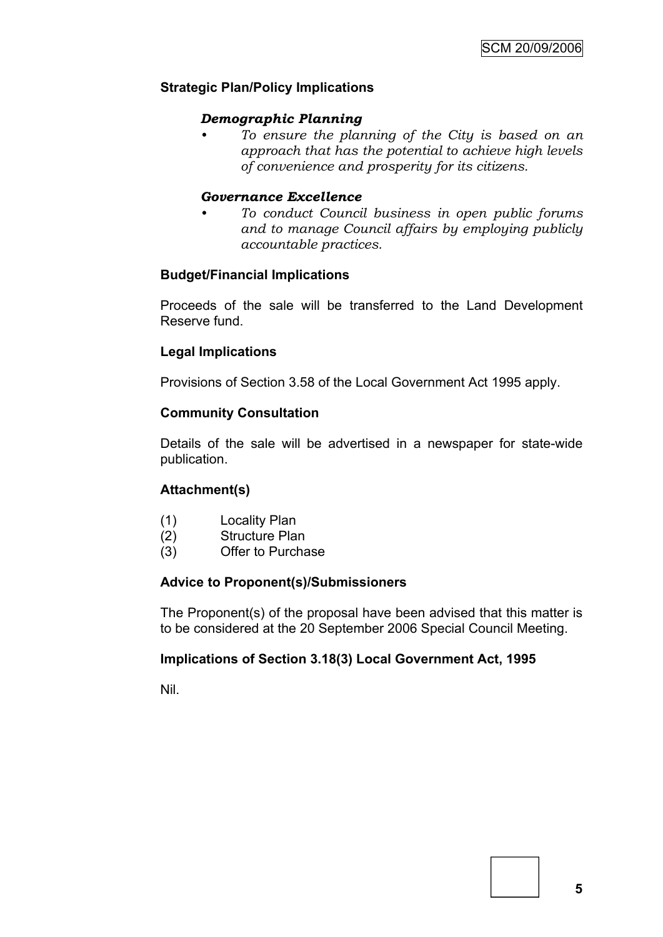# **Strategic Plan/Policy Implications**

#### *Demographic Planning*

*• To ensure the planning of the City is based on an approach that has the potential to achieve high levels of convenience and prosperity for its citizens.*

#### *Governance Excellence*

*• To conduct Council business in open public forums and to manage Council affairs by employing publicly accountable practices.*

#### **Budget/Financial Implications**

Proceeds of the sale will be transferred to the Land Development Reserve fund.

#### **Legal Implications**

Provisions of Section 3.58 of the Local Government Act 1995 apply.

#### **Community Consultation**

Details of the sale will be advertised in a newspaper for state-wide publication.

#### **Attachment(s)**

- (1) Locality Plan
- (2) Structure Plan
- (3) Offer to Purchase

#### **Advice to Proponent(s)/Submissioners**

The Proponent(s) of the proposal have been advised that this matter is to be considered at the 20 September 2006 Special Council Meeting.

#### **Implications of Section 3.18(3) Local Government Act, 1995**

Nil.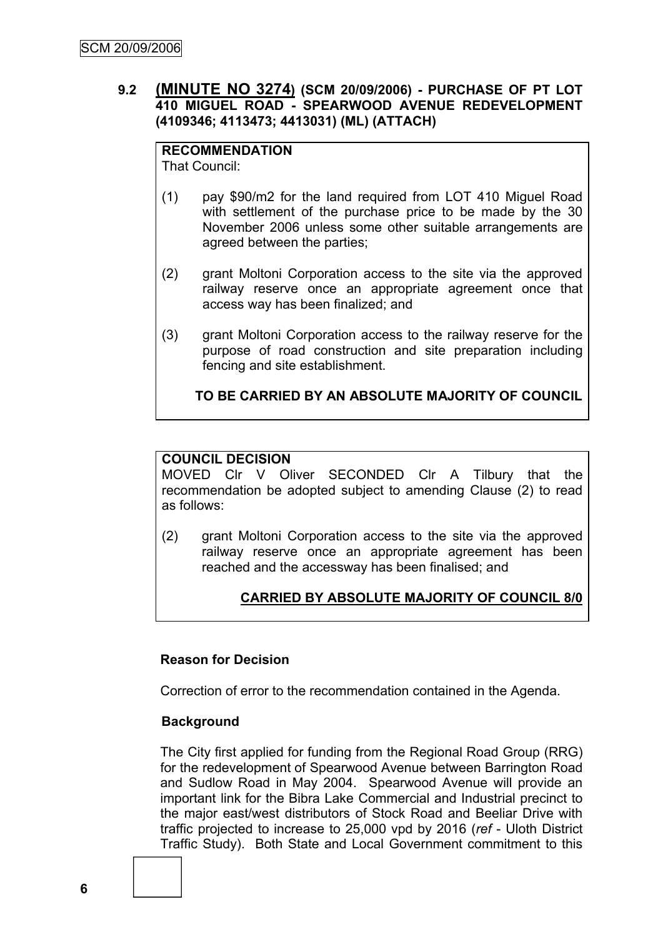# **9.2 (MINUTE NO 3274) (SCM 20/09/2006) - PURCHASE OF PT LOT 410 MIGUEL ROAD - SPEARWOOD AVENUE REDEVELOPMENT (4109346; 4113473; 4413031) (ML) (ATTACH)**

#### **RECOMMENDATION** That Council:

(1) pay \$90/m2 for the land required from LOT 410 Miguel Road with settlement of the purchase price to be made by the 30 November 2006 unless some other suitable arrangements are agreed between the parties;

- (2) grant Moltoni Corporation access to the site via the approved railway reserve once an appropriate agreement once that access way has been finalized; and
- (3) grant Moltoni Corporation access to the railway reserve for the purpose of road construction and site preparation including fencing and site establishment.

# **TO BE CARRIED BY AN ABSOLUTE MAJORITY OF COUNCIL**

# **COUNCIL DECISION**

MOVED Clr V Oliver SECONDED Clr A Tilbury that the recommendation be adopted subject to amending Clause (2) to read as follows:

(2) grant Moltoni Corporation access to the site via the approved railway reserve once an appropriate agreement has been reached and the accessway has been finalised; and

# **CARRIED BY ABSOLUTE MAJORITY OF COUNCIL 8/0**

#### **Reason for Decision**

Correction of error to the recommendation contained in the Agenda.

#### **Background**

The City first applied for funding from the Regional Road Group (RRG) for the redevelopment of Spearwood Avenue between Barrington Road and Sudlow Road in May 2004. Spearwood Avenue will provide an important link for the Bibra Lake Commercial and Industrial precinct to the major east/west distributors of Stock Road and Beeliar Drive with traffic projected to increase to 25,000 vpd by 2016 (*ref* - Uloth District Traffic Study). Both State and Local Government commitment to this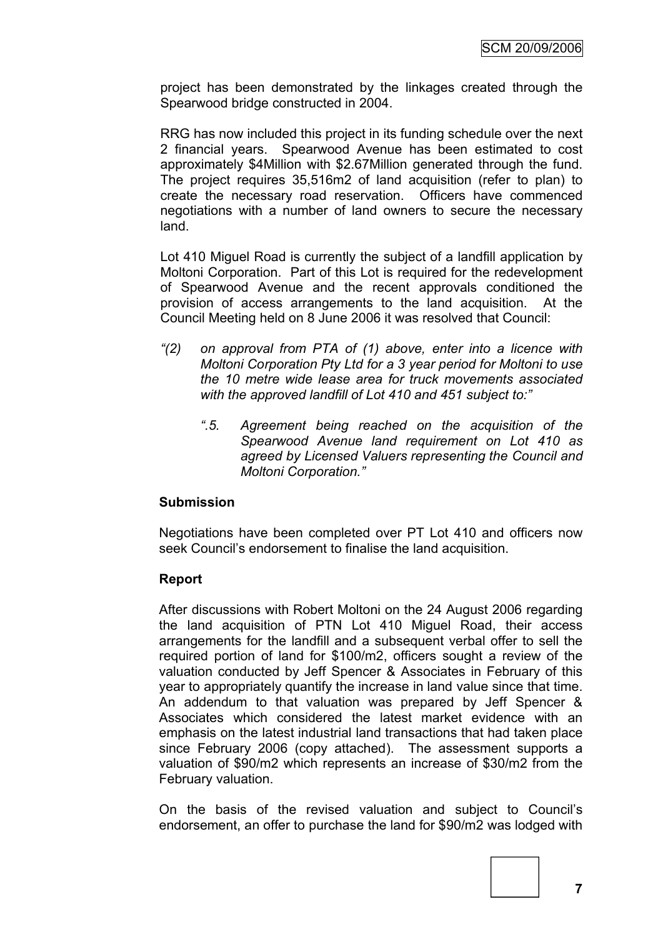project has been demonstrated by the linkages created through the Spearwood bridge constructed in 2004.

RRG has now included this project in its funding schedule over the next 2 financial years. Spearwood Avenue has been estimated to cost approximately \$4Million with \$2.67Million generated through the fund. The project requires 35,516m2 of land acquisition (refer to plan) to create the necessary road reservation. Officers have commenced negotiations with a number of land owners to secure the necessary land.

Lot 410 Miguel Road is currently the subject of a landfill application by Moltoni Corporation. Part of this Lot is required for the redevelopment of Spearwood Avenue and the recent approvals conditioned the provision of access arrangements to the land acquisition. At the Council Meeting held on 8 June 2006 it was resolved that Council:

- *"(2) on approval from PTA of (1) above, enter into a licence with Moltoni Corporation Pty Ltd for a 3 year period for Moltoni to use the 10 metre wide lease area for truck movements associated with the approved landfill of Lot 410 and 451 subject to:"*
	- *".5. Agreement being reached on the acquisition of the Spearwood Avenue land requirement on Lot 410 as agreed by Licensed Valuers representing the Council and Moltoni Corporation."*

#### **Submission**

Negotiations have been completed over PT Lot 410 and officers now seek Council's endorsement to finalise the land acquisition.

#### **Report**

After discussions with Robert Moltoni on the 24 August 2006 regarding the land acquisition of PTN Lot 410 Miguel Road, their access arrangements for the landfill and a subsequent verbal offer to sell the required portion of land for \$100/m2, officers sought a review of the valuation conducted by Jeff Spencer & Associates in February of this year to appropriately quantify the increase in land value since that time. An addendum to that valuation was prepared by Jeff Spencer & Associates which considered the latest market evidence with an emphasis on the latest industrial land transactions that had taken place since February 2006 (copy attached). The assessment supports a valuation of \$90/m2 which represents an increase of \$30/m2 from the February valuation.

On the basis of the revised valuation and subject to Council's endorsement, an offer to purchase the land for \$90/m2 was lodged with



**7**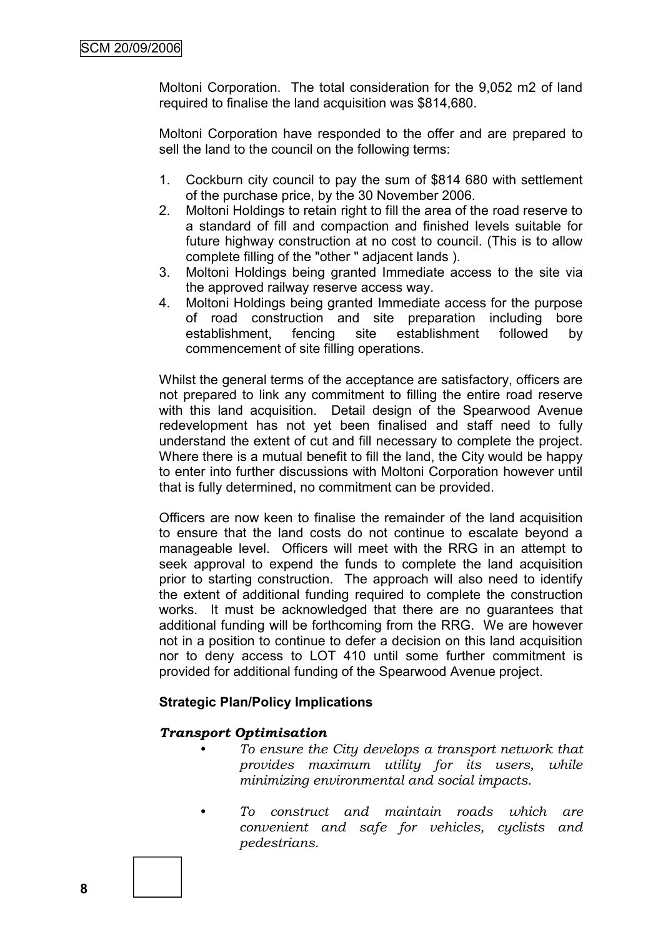Moltoni Corporation. The total consideration for the 9,052 m2 of land required to finalise the land acquisition was \$814,680.

Moltoni Corporation have responded to the offer and are prepared to sell the land to the council on the following terms:

- 1. Cockburn city council to pay the sum of \$814 680 with settlement of the purchase price, by the 30 November 2006.
- 2. Moltoni Holdings to retain right to fill the area of the road reserve to a standard of fill and compaction and finished levels suitable for future highway construction at no cost to council. (This is to allow complete filling of the "other " adjacent lands ).
- 3. Moltoni Holdings being granted Immediate access to the site via the approved railway reserve access way.
- 4. Moltoni Holdings being granted Immediate access for the purpose of road construction and site preparation including bore establishment, fencing site establishment followed by commencement of site filling operations.

Whilst the general terms of the acceptance are satisfactory, officers are not prepared to link any commitment to filling the entire road reserve with this land acquisition. Detail design of the Spearwood Avenue redevelopment has not yet been finalised and staff need to fully understand the extent of cut and fill necessary to complete the project. Where there is a mutual benefit to fill the land, the City would be happy to enter into further discussions with Moltoni Corporation however until that is fully determined, no commitment can be provided.

Officers are now keen to finalise the remainder of the land acquisition to ensure that the land costs do not continue to escalate beyond a manageable level. Officers will meet with the RRG in an attempt to seek approval to expend the funds to complete the land acquisition prior to starting construction. The approach will also need to identify the extent of additional funding required to complete the construction works. It must be acknowledged that there are no guarantees that additional funding will be forthcoming from the RRG. We are however not in a position to continue to defer a decision on this land acquisition nor to deny access to LOT 410 until some further commitment is provided for additional funding of the Spearwood Avenue project.

#### **Strategic Plan/Policy Implications**

#### *Transport Optimisation*

- *• To ensure the City develops a transport network that provides maximum utility for its users, while minimizing environmental and social impacts.*
- *• To construct and maintain roads which are convenient and safe for vehicles, cyclists and pedestrians.*

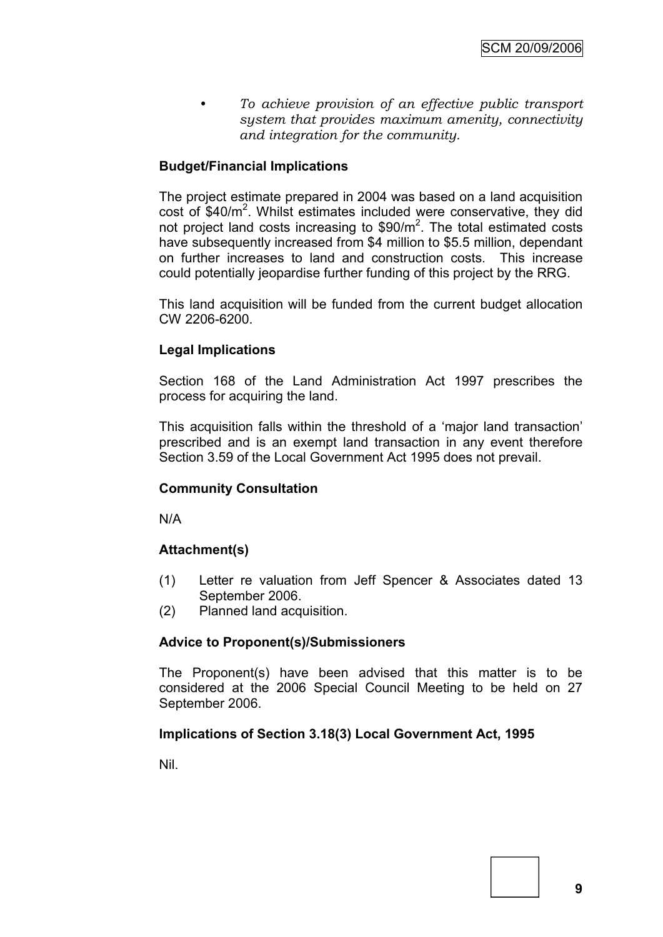*• To achieve provision of an effective public transport system that provides maximum amenity, connectivity and integration for the community.*

# **Budget/Financial Implications**

The project estimate prepared in 2004 was based on a land acquisition cost of \$40/m<sup>2</sup>. Whilst estimates included were conservative, they did not project land costs increasing to  $$90/m^2$ . The total estimated costs have subsequently increased from \$4 million to \$5.5 million, dependant on further increases to land and construction costs. This increase could potentially jeopardise further funding of this project by the RRG.

This land acquisition will be funded from the current budget allocation CW 2206-6200.

## **Legal Implications**

Section 168 of the Land Administration Act 1997 prescribes the process for acquiring the land.

This acquisition falls within the threshold of a 'major land transaction' prescribed and is an exempt land transaction in any event therefore Section 3.59 of the Local Government Act 1995 does not prevail.

#### **Community Consultation**

N/A

#### **Attachment(s)**

- (1) Letter re valuation from Jeff Spencer & Associates dated 13 September 2006.
- (2) Planned land acquisition.

#### **Advice to Proponent(s)/Submissioners**

The Proponent(s) have been advised that this matter is to be considered at the 2006 Special Council Meeting to be held on 27 September 2006.

#### **Implications of Section 3.18(3) Local Government Act, 1995**

Nil.